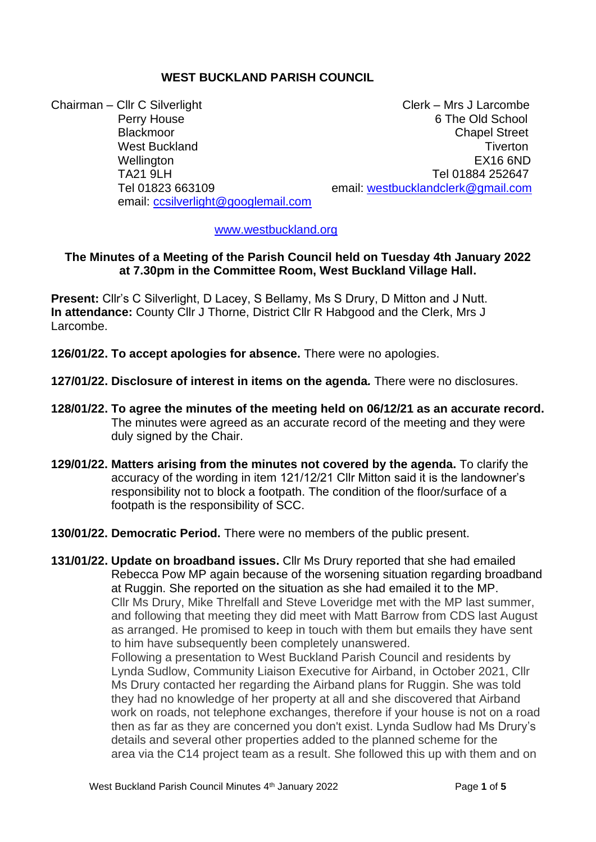# **WEST BUCKLAND PARISH COUNCIL**

Chairman – Cllr C Silverlight Chairman – Clerk – Mrs J Larcombe Wellington EX16 6ND email: [ccsilverlight@googlemail.com](mailto:ccsilverlight@googlemail.com)

Perry House 6 The Old School Blackmoor **Chapel Street** Chapel Street Chapel Street Chapel Street Chapel Street West Buckland **Times The Contract Buckland** Times **The Times Times The Times Times The Times The Times The Times The Times The Times The Times The Times The Times The Times The Times The Times** TA21 9LH TA21 9LH Tel 01823 663109 email: [westbucklandclerk@gmail.com](mailto:westbucklandclerk@gmail.com)

#### [www.westbuckland.org](http://www.westbuckland.org/)

#### **The Minutes of a Meeting of the Parish Council held on Tuesday 4th January 2022 at 7.30pm in the Committee Room, West Buckland Village Hall.**

**Present:** Cllr's C Silverlight, D Lacey, S Bellamy, Ms S Drury, D Mitton and J Nutt. **In attendance:** County Cllr J Thorne, District Cllr R Habgood and the Clerk, Mrs J Larcombe.

- **126/01/22. To accept apologies for absence.** There were no apologies.
- **127/01/22. Disclosure of interest in items on the agenda***.* There were no disclosures.
- **128/01/22. To agree the minutes of the meeting held on 06/12/21 as an accurate record.** The minutes were agreed as an accurate record of the meeting and they were duly signed by the Chair.
- **129/01/22. Matters arising from the minutes not covered by the agenda.** To clarify the accuracy of the wording in item 121/12/21 Cllr Mitton said it is the landowner's responsibility not to block a footpath. The condition of the floor/surface of a footpath is the responsibility of SCC.
- **130/01/22. Democratic Period.** There were no members of the public present.

**131/01/22. Update on broadband issues.** Cllr Ms Drury reported that she had emailed Rebecca Pow MP again because of the worsening situation regarding broadband at Ruggin. She reported on the situation as she had emailed it to the MP. Cllr Ms Drury, Mike Threlfall and Steve Loveridge met with the MP last summer, and following that meeting they did meet with Matt Barrow from CDS last August as arranged. He promised to keep in touch with them but emails they have sent to him have subsequently been completely unanswered. Following a presentation to West Buckland Parish Council and residents by Lynda Sudlow, Community Liaison Executive for Airband, in October 2021, Cllr Ms Drury contacted her regarding the Airband plans for Ruggin. She was told they had no knowledge of her property at all and she discovered that Airband work on roads, not telephone exchanges, therefore if your house is not on a road then as far as they are concerned you don't exist. Lynda Sudlow had Ms Drury's details and several other properties added to the planned scheme for the area via the C14 project team as a result. She followed this up with them and on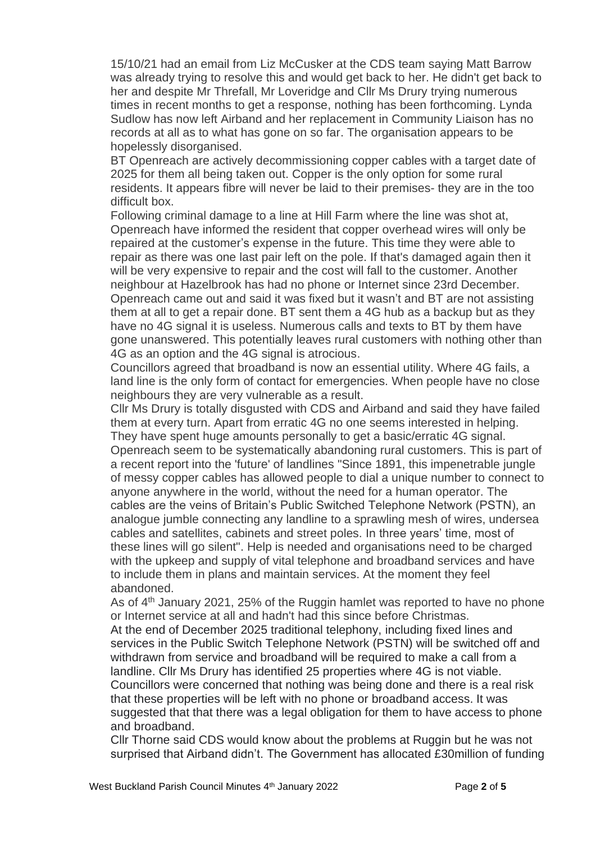15/10/21 had an email from Liz McCusker at the CDS team saying Matt Barrow was already trying to resolve this and would get back to her. He didn't get back to her and despite Mr Threfall, Mr Loveridge and Cllr Ms Drury trying numerous times in recent months to get a response, nothing has been forthcoming. Lynda Sudlow has now left Airband and her replacement in Community Liaison has no records at all as to what has gone on so far. The organisation appears to be hopelessly disorganised.

BT Openreach are actively decommissioning copper cables with a target date of 2025 for them all being taken out. Copper is the only option for some rural residents. It appears fibre will never be laid to their premises- they are in the too difficult box.

Following criminal damage to a line at Hill Farm where the line was shot at, Openreach have informed the resident that copper overhead wires will only be repaired at the customer's expense in the future. This time they were able to repair as there was one last pair left on the pole. If that's damaged again then it will be very expensive to repair and the cost will fall to the customer. Another neighbour at Hazelbrook has had no phone or Internet since 23rd December. Openreach came out and said it was fixed but it wasn't and BT are not assisting them at all to get a repair done. BT sent them a 4G hub as a backup but as they have no 4G signal it is useless. Numerous calls and texts to BT by them have gone unanswered. This potentially leaves rural customers with nothing other than 4G as an option and the 4G signal is atrocious.

Councillors agreed that broadband is now an essential utility. Where 4G fails, a land line is the only form of contact for emergencies. When people have no close neighbours they are very vulnerable as a result.

Cllr Ms Drury is totally disgusted with CDS and Airband and said they have failed them at every turn. Apart from erratic 4G no one seems interested in helping. They have spent huge amounts personally to get a basic/erratic 4G signal. Openreach seem to be systematically abandoning rural customers. This is part of a recent report into the 'future' of landlines "Since 1891, this impenetrable jungle of messy copper cables has allowed people to dial a unique number to connect to anyone anywhere in the world, without the need for a human operator. The cables are the veins of Britain's Public Switched Telephone Network (PSTN), an analogue jumble connecting any landline to a sprawling mesh of wires, undersea cables and satellites, cabinets and street poles. In three years' time, most of these lines will go silent". Help is needed and organisations need to be charged with the upkeep and supply of vital telephone and broadband services and have to include them in plans and maintain services. At the moment they feel abandoned.

As of 4<sup>th</sup> January 2021, 25% of the Ruggin hamlet was reported to have no phone or Internet service at all and hadn't had this since before Christmas.

At the end of December 2025 traditional telephony, including fixed lines and services in the Public Switch Telephone Network (PSTN) will be switched off and withdrawn from service and broadband will be required to make a call from a landline. Cllr Ms Drury has identified 25 properties where 4G is not viable. Councillors were concerned that nothing was being done and there is a real risk that these properties will be left with no phone or broadband access. It was suggested that that there was a legal obligation for them to have access to phone and broadband.

Cllr Thorne said CDS would know about the problems at Ruggin but he was not surprised that Airband didn't. The Government has allocated £30million of funding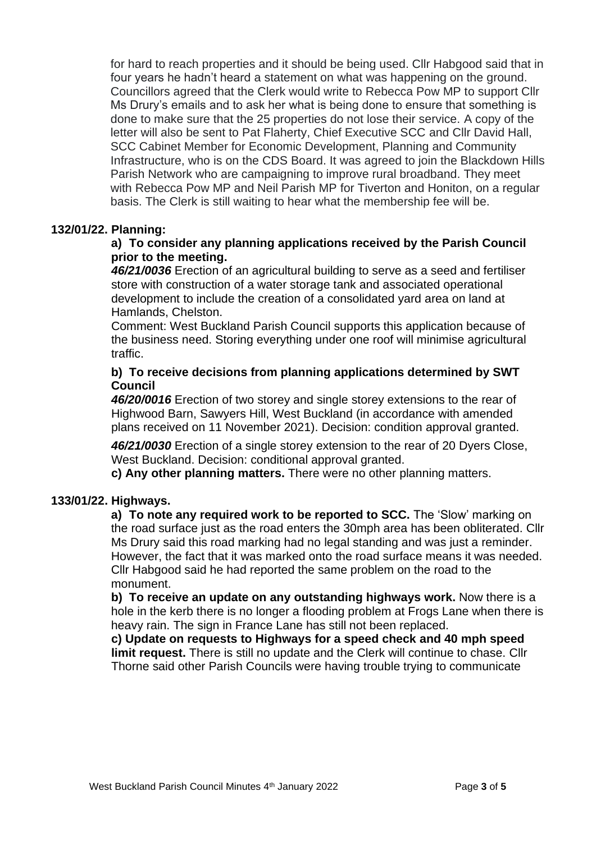for hard to reach properties and it should be being used. Cllr Habgood said that in four years he hadn't heard a statement on what was happening on the ground. Councillors agreed that the Clerk would write to Rebecca Pow MP to support Cllr Ms Drury's emails and to ask her what is being done to ensure that something is done to make sure that the 25 properties do not lose their service. A copy of the letter will also be sent to Pat Flaherty, Chief Executive SCC and Cllr David Hall, SCC Cabinet Member for Economic Development, Planning and Community Infrastructure, who is on the CDS Board. It was agreed to join the Blackdown Hills Parish Network who are campaigning to improve rural broadband. They meet with Rebecca Pow MP and Neil Parish MP for Tiverton and Honiton, on a regular basis. The Clerk is still waiting to hear what the membership fee will be.

# **132/01/22. Planning:**

# **a) To consider any planning applications received by the Parish Council prior to the meeting.**

 *46/21/0036* Erection of an agricultural building to serve as a seed and fertiliser store with construction of a water storage tank and associated operational development to include the creation of a consolidated yard area on land at Hamlands, Chelston.

 Comment: West Buckland Parish Council supports this application because of the business need. Storing everything under one roof will minimise agricultural traffic.

# **b) To receive decisions from planning applications determined by SWT Council**

 *46/20/0016* Erection of two storey and single storey extensions to the rear of Highwood Barn, Sawyers Hill, West Buckland (in accordance with amended plans received on 11 November 2021). Decision: condition approval granted.

 *46/21/0030* Erection of a single storey extension to the rear of 20 Dyers Close, West Buckland. Decision: conditional approval granted.

 **c) Any other planning matters.** There were no other planning matters.

### **133/01/22. Highways.**

**a) To note any required work to be reported to SCC.** The 'Slow' marking on the road surface just as the road enters the 30mph area has been obliterated. Cllr Ms Drury said this road marking had no legal standing and was just a reminder. However, the fact that it was marked onto the road surface means it was needed. Cllr Habgood said he had reported the same problem on the road to the monument.

**b) To receive an update on any outstanding highways work.** Now there is a hole in the kerb there is no longer a flooding problem at Frogs Lane when there is heavy rain. The sign in France Lane has still not been replaced.

 **c) Update on requests to Highways for a speed check and 40 mph speed limit request.** There is still no update and the Clerk will continue to chase. Cllr Thorne said other Parish Councils were having trouble trying to communicate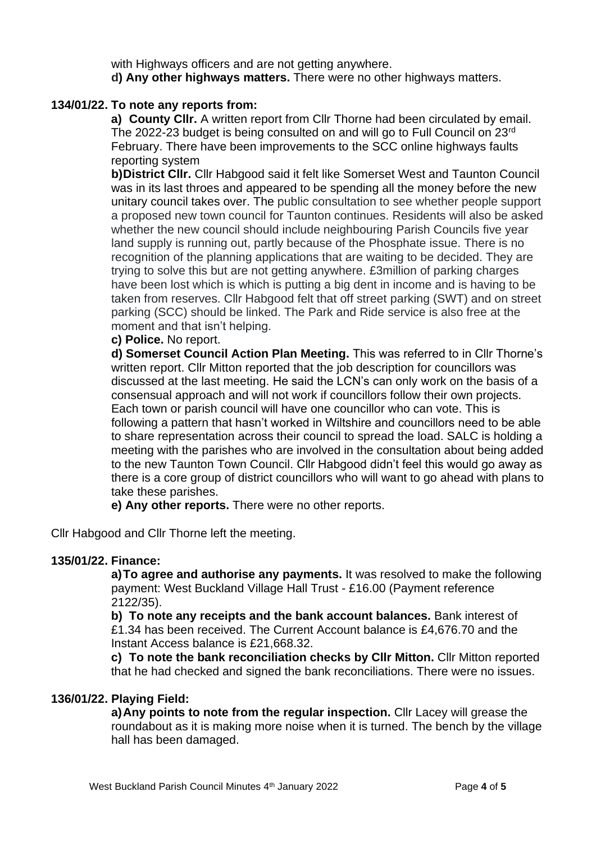with Highways officers and are not getting anywhere.  **d) Any other highways matters.** There were no other highways matters.

# **134/01/22. To note any reports from:**

**a) County Cllr.** A written report from Cllr Thorne had been circulated by email. The 2022-23 budget is being consulted on and will go to Full Council on 23rd February. There have been improvements to the SCC online highways faults reporting system

**b)District Cllr.** Cllr Habgood said it felt like Somerset West and Taunton Council was in its last throes and appeared to be spending all the money before the new unitary council takes over. The public consultation to see whether people support a proposed new town council for Taunton continues. Residents will also be asked whether the new council should include neighbouring Parish Councils five year land supply is running out, partly because of the Phosphate issue. There is no recognition of the planning applications that are waiting to be decided. They are trying to solve this but are not getting anywhere. £3million of parking charges have been lost which is which is putting a big dent in income and is having to be taken from reserves. Cllr Habgood felt that off street parking (SWT) and on street parking (SCC) should be linked. The Park and Ride service is also free at the moment and that isn't helping.

#### **c) Police.** No report.

 **d) Somerset Council Action Plan Meeting.** This was referred to in Cllr Thorne's written report. Cllr Mitton reported that the job description for councillors was discussed at the last meeting. He said the LCN's can only work on the basis of a consensual approach and will not work if councillors follow their own projects. Each town or parish council will have one councillor who can vote. This is following a pattern that hasn't worked in Wiltshire and councillors need to be able to share representation across their council to spread the load. SALC is holding a meeting with the parishes who are involved in the consultation about being added to the new Taunton Town Council. Cllr Habgood didn't feel this would go away as there is a core group of district councillors who will want to go ahead with plans to take these parishes.

 **e) Any other reports.** There were no other reports.

Cllr Habgood and Cllr Thorne left the meeting.

### **135/01/22. Finance:**

**a)To agree and authorise any payments.** It was resolved to make the following payment: West Buckland Village Hall Trust - £16.00 (Payment reference 2122/35).

**b) To note any receipts and the bank account balances.** Bank interest of £1.34 has been received. The Current Account balance is £4,676.70 and the Instant Access balance is £21,668.32.

**c) To note the bank reconciliation checks by Cllr Mitton.** Cllr Mitton reported that he had checked and signed the bank reconciliations. There were no issues.

#### **136/01/22. Playing Field:**

**a)Any points to note from the regular inspection.** Cllr Lacey will grease the roundabout as it is making more noise when it is turned. The bench by the village hall has been damaged.